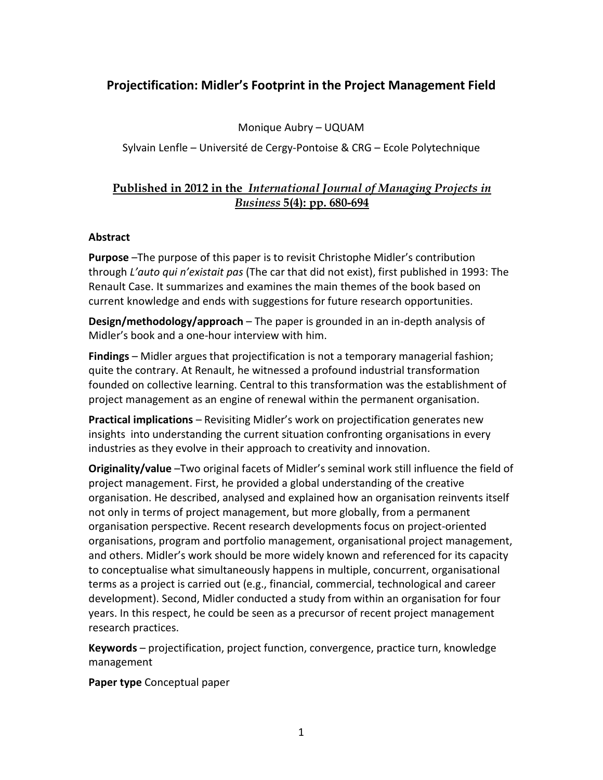# **Projectification: Midler's Footprint in the Project Management Field**

Monique Aubry – UQUAM

Sylvain Lenfle – Université de Cergy-Pontoise & CRG – Ecole Polytechnique

# **Published in 2012 in the** *International Journal of Managing Projects in Business* **5(4): pp. 680-694**

# **Abstract**

**Purpose** –The purpose of this paper is to revisit Christophe Midler's contribution through *L'auto qui n'existait pas* (The car that did not exist), first published in 1993: The Renault Case. It summarizes and examines the main themes of the book based on current knowledge and ends with suggestions for future research opportunities.

**Design/methodology/approach** – The paper is grounded in an in-depth analysis of Midler's book and a one-hour interview with him.

**Findings** – Midler argues that projectification is not a temporary managerial fashion; quite the contrary. At Renault, he witnessed a profound industrial transformation founded on collective learning. Central to this transformation was the establishment of project management as an engine of renewal within the permanent organisation.

**Practical implications** – Revisiting Midler's work on projectification generates new insights into understanding the current situation confronting organisations in every industries as they evolve in their approach to creativity and innovation.

**Originality/value** –Two original facets of Midler's seminal work still influence the field of project management. First, he provided a global understanding of the creative organisation. He described, analysed and explained how an organisation reinvents itself not only in terms of project management, but more globally, from a permanent organisation perspective. Recent research developments focus on project-oriented organisations, program and portfolio management, organisational project management, and others. Midler's work should be more widely known and referenced for its capacity to conceptualise what simultaneously happens in multiple, concurrent, organisational terms as a project is carried out (e.g., financial, commercial, technological and career development). Second, Midler conducted a study from within an organisation for four years. In this respect, he could be seen as a precursor of recent project management research practices.

**Keywords** – projectification, project function, convergence, practice turn, knowledge management

**Paper type** Conceptual paper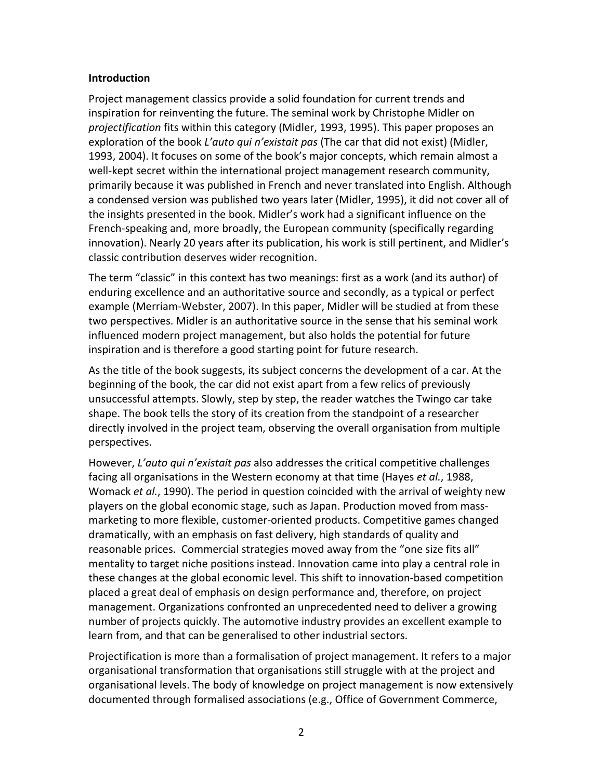#### **Introduction**

Project management classics provide a solid foundation for current trends and inspiration for reinventing the future. The seminal work by Christophe Midler on *projectification* fits within this category (Midler, 1993, 1995). This paper proposes an exploration of the book *L'auto qui n'existait pas* (The car that did not exist) (Midler, 1993, 2004). It focuses on some of the book's major concepts, which remain almost a well-kept secret within the international project management research community, primarily because it was published in French and never translated into English. Although a condensed version was published two years later (Midler, 1995), it did not cover all of the insights presented in the book. Midler's work had a significant influence on the French-speaking and, more broadly, the European community (specifically regarding innovation). Nearly 20 years after its publication, his work is still pertinent, and Midler's classic contribution deserves wider recognition.

The term "classic" in this context has two meanings: first as a work (and its author) of enduring excellence and an authoritative source and secondly, as a typical or perfect example (Merriam-Webster, 2007). In this paper, Midler will be studied at from these two perspectives. Midler is an authoritative source in the sense that his seminal work influenced modern project management, but also holds the potential for future inspiration and is therefore a good starting point for future research.

As the title of the book suggests, its subject concerns the development of a car. At the beginning of the book, the car did not exist apart from a few relics of previously unsuccessful attempts. Slowly, step by step, the reader watches the Twingo car take shape. The book tells the story of its creation from the standpoint of a researcher directly involved in the project team, observing the overall organisation from multiple perspectives.

However, *L'auto qui n'existait pas* also addresses the critical competitive challenges facing all organisations in the Western economy at that time (Hayes *et al.*, 1988, Womack *et al.*, 1990). The period in question coincided with the arrival of weighty new players on the global economic stage, such as Japan. Production moved from massmarketing to more flexible, customer-oriented products. Competitive games changed dramatically, with an emphasis on fast delivery, high standards of quality and reasonable prices. Commercial strategies moved away from the "one size fits all" mentality to target niche positions instead. Innovation came into play a central role in these changes at the global economic level. This shift to innovation-based competition placed a great deal of emphasis on design performance and, therefore, on project management. Organizations confronted an unprecedented need to deliver a growing number of projects quickly. The automotive industry provides an excellent example to learn from, and that can be generalised to other industrial sectors.

Projectification is more than a formalisation of project management. It refers to a major organisational transformation that organisations still struggle with at the project and organisational levels. The body of knowledge on project management is now extensively documented through formalised associations (e.g., Office of Government Commerce,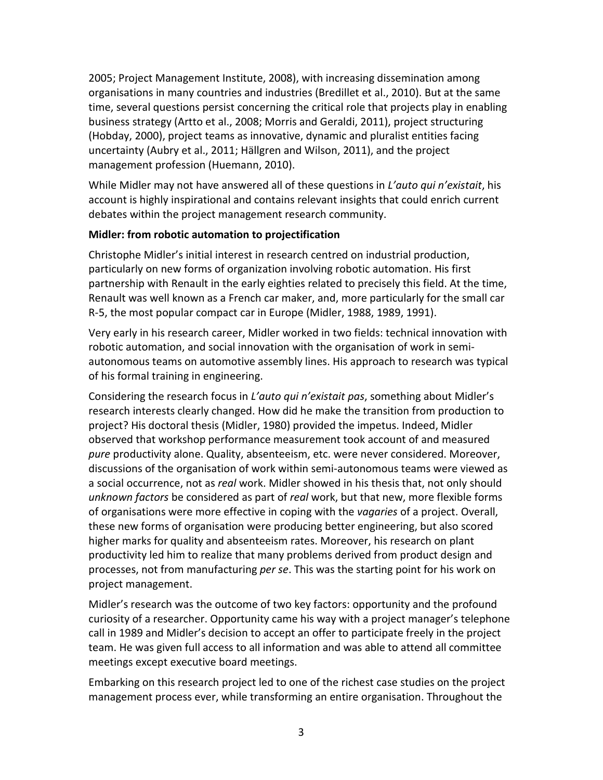2005; Project Management Institute, 2008), with increasing dissemination among organisations in many countries and industries (Bredillet et al., 2010). But at the same time, several questions persist concerning the critical role that projects play in enabling business strategy (Artto et al., 2008; Morris and Geraldi, 2011), project structuring (Hobday, 2000), project teams as innovative, dynamic and pluralist entities facing uncertainty (Aubry et al., 2011; Hällgren and Wilson, 2011), and the project management profession (Huemann, 2010).

While Midler may not have answered all of these questions in *L'auto qui n'existait*, his account is highly inspirational and contains relevant insights that could enrich current debates within the project management research community.

# **Midler: from robotic automation to projectification**

Christophe Midler's initial interest in research centred on industrial production, particularly on new forms of organization involving robotic automation. His first partnership with Renault in the early eighties related to precisely this field. At the time, Renault was well known as a French car maker, and, more particularly for the small car R-5, the most popular compact car in Europe (Midler, 1988, 1989, 1991).

Very early in his research career, Midler worked in two fields: technical innovation with robotic automation, and social innovation with the organisation of work in semiautonomous teams on automotive assembly lines. His approach to research was typical of his formal training in engineering.

Considering the research focus in *L'auto qui n'existait pas*, something about Midler's research interests clearly changed. How did he make the transition from production to project? His doctoral thesis (Midler, 1980) provided the impetus. Indeed, Midler observed that workshop performance measurement took account of and measured *pure* productivity alone. Quality, absenteeism, etc. were never considered. Moreover, discussions of the organisation of work within semi-autonomous teams were viewed as a social occurrence, not as *real* work. Midler showed in his thesis that, not only should *unknown factors* be considered as part of *real* work, but that new, more flexible forms of organisations were more effective in coping with the *vagaries* of a project. Overall, these new forms of organisation were producing better engineering, but also scored higher marks for quality and absenteeism rates. Moreover, his research on plant productivity led him to realize that many problems derived from product design and processes, not from manufacturing *per se*. This was the starting point for his work on project management.

Midler's research was the outcome of two key factors: opportunity and the profound curiosity of a researcher. Opportunity came his way with a project manager's telephone call in 1989 and Midler's decision to accept an offer to participate freely in the project team. He was given full access to all information and was able to attend all committee meetings except executive board meetings.

Embarking on this research project led to one of the richest case studies on the project management process ever, while transforming an entire organisation. Throughout the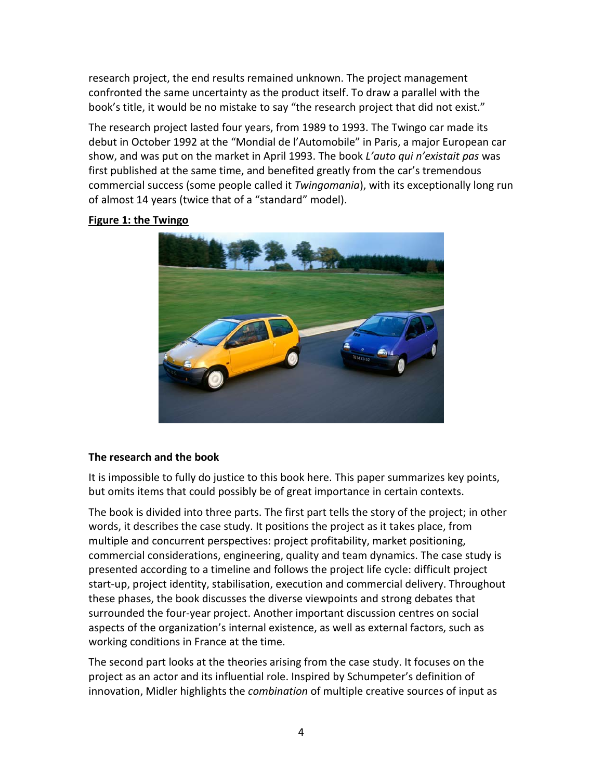research project, the end results remained unknown. The project management confronted the same uncertainty as the product itself. To draw a parallel with the book's title, it would be no mistake to say "the research project that did not exist."

The research project lasted four years, from 1989 to 1993. The Twingo car made its debut in October 1992 at the "Mondial de l'Automobile" in Paris, a major European car show, and was put on the market in April 1993. The book *L'auto qui n'existait pas* was first published at the same time, and benefited greatly from the car's tremendous commercial success (some people called it *Twingomania*), with its exceptionally long run of almost 14 years (twice that of a "standard" model).

### **Figure 1: the Twingo**



### **The research and the book**

It is impossible to fully do justice to this book here. This paper summarizes key points, but omits items that could possibly be of great importance in certain contexts.

The book is divided into three parts. The first part tells the story of the project; in other words, it describes the case study. It positions the project as it takes place, from multiple and concurrent perspectives: project profitability, market positioning, commercial considerations, engineering, quality and team dynamics. The case study is presented according to a timeline and follows the project life cycle: difficult project start-up, project identity, stabilisation, execution and commercial delivery. Throughout these phases, the book discusses the diverse viewpoints and strong debates that surrounded the four-year project. Another important discussion centres on social aspects of the organization's internal existence, as well as external factors, such as working conditions in France at the time.

The second part looks at the theories arising from the case study. It focuses on the project as an actor and its influential role. Inspired by Schumpeter's definition of innovation, Midler highlights the *combination* of multiple creative sources of input as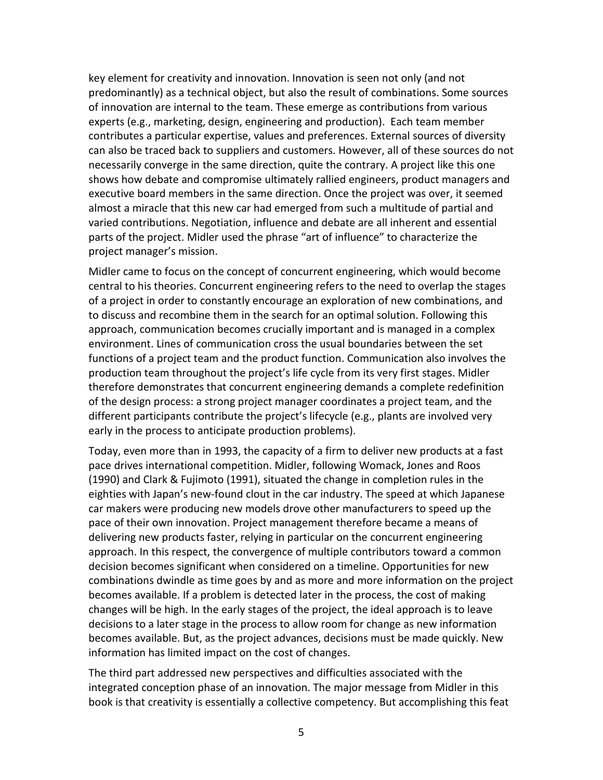key element for creativity and innovation. Innovation is seen not only (and not predominantly) as a technical object, but also the result of combinations. Some sources of innovation are internal to the team. These emerge as contributions from various experts (e.g., marketing, design, engineering and production). Each team member contributes a particular expertise, values and preferences. External sources of diversity can also be traced back to suppliers and customers. However, all of these sources do not necessarily converge in the same direction, quite the contrary. A project like this one shows how debate and compromise ultimately rallied engineers, product managers and executive board members in the same direction. Once the project was over, it seemed almost a miracle that this new car had emerged from such a multitude of partial and varied contributions. Negotiation, influence and debate are all inherent and essential parts of the project. Midler used the phrase "art of influence" to characterize the project manager's mission.

Midler came to focus on the concept of concurrent engineering, which would become central to his theories. Concurrent engineering refers to the need to overlap the stages of a project in order to constantly encourage an exploration of new combinations, and to discuss and recombine them in the search for an optimal solution. Following this approach, communication becomes crucially important and is managed in a complex environment. Lines of communication cross the usual boundaries between the set functions of a project team and the product function. Communication also involves the production team throughout the project's life cycle from its very first stages. Midler therefore demonstrates that concurrent engineering demands a complete redefinition of the design process: a strong project manager coordinates a project team, and the different participants contribute the project's lifecycle (e.g., plants are involved very early in the process to anticipate production problems).

Today, even more than in 1993, the capacity of a firm to deliver new products at a fast pace drives international competition. Midler, following Womack, Jones and Roos (1990) and Clark & Fujimoto (1991), situated the change in completion rules in the eighties with Japan's new-found clout in the car industry. The speed at which Japanese car makers were producing new models drove other manufacturers to speed up the pace of their own innovation. Project management therefore became a means of delivering new products faster, relying in particular on the concurrent engineering approach. In this respect, the convergence of multiple contributors toward a common decision becomes significant when considered on a timeline. Opportunities for new combinations dwindle as time goes by and as more and more information on the project becomes available. If a problem is detected later in the process, the cost of making changes will be high. In the early stages of the project, the ideal approach is to leave decisions to a later stage in the process to allow room for change as new information becomes available. But, as the project advances, decisions must be made quickly. New information has limited impact on the cost of changes.

The third part addressed new perspectives and difficulties associated with the integrated conception phase of an innovation. The major message from Midler in this book is that creativity is essentially a collective competency. But accomplishing this feat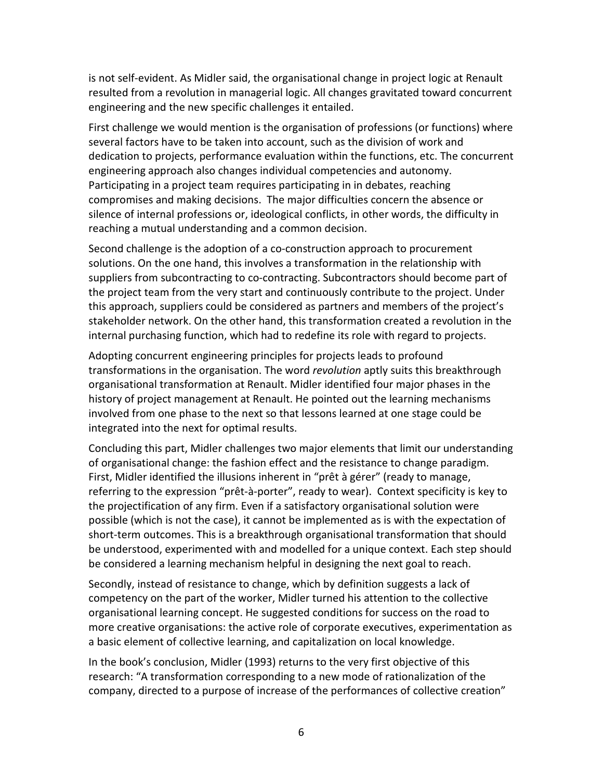is not self-evident. As Midler said, the organisational change in project logic at Renault resulted from a revolution in managerial logic. All changes gravitated toward concurrent engineering and the new specific challenges it entailed.

First challenge we would mention is the organisation of professions (or functions) where several factors have to be taken into account, such as the division of work and dedication to projects, performance evaluation within the functions, etc. The concurrent engineering approach also changes individual competencies and autonomy. Participating in a project team requires participating in in debates, reaching compromises and making decisions. The major difficulties concern the absence or silence of internal professions or, ideological conflicts, in other words, the difficulty in reaching a mutual understanding and a common decision.

Second challenge is the adoption of a co-construction approach to procurement solutions. On the one hand, this involves a transformation in the relationship with suppliers from subcontracting to co-contracting. Subcontractors should become part of the project team from the very start and continuously contribute to the project. Under this approach, suppliers could be considered as partners and members of the project's stakeholder network. On the other hand, this transformation created a revolution in the internal purchasing function, which had to redefine its role with regard to projects.

Adopting concurrent engineering principles for projects leads to profound transformations in the organisation. The word *revolution* aptly suits this breakthrough organisational transformation at Renault. Midler identified four major phases in the history of project management at Renault. He pointed out the learning mechanisms involved from one phase to the next so that lessons learned at one stage could be integrated into the next for optimal results.

Concluding this part, Midler challenges two major elements that limit our understanding of organisational change: the fashion effect and the resistance to change paradigm. First, Midler identified the illusions inherent in "prêt à gérer" (ready to manage, referring to the expression "prêt-à-porter", ready to wear). Context specificity is key to the projectification of any firm. Even if a satisfactory organisational solution were possible (which is not the case), it cannot be implemented as is with the expectation of short-term outcomes. This is a breakthrough organisational transformation that should be understood, experimented with and modelled for a unique context. Each step should be considered a learning mechanism helpful in designing the next goal to reach.

Secondly, instead of resistance to change, which by definition suggests a lack of competency on the part of the worker, Midler turned his attention to the collective organisational learning concept. He suggested conditions for success on the road to more creative organisations: the active role of corporate executives, experimentation as a basic element of collective learning, and capitalization on local knowledge.

In the book's conclusion, Midler (1993) returns to the very first objective of this research: "A transformation corresponding to a new mode of rationalization of the company, directed to a purpose of increase of the performances of collective creation"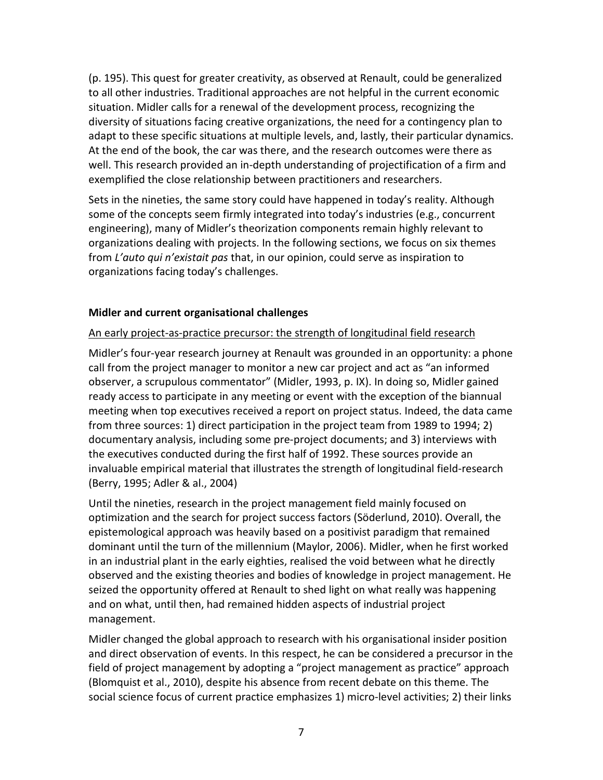(p. 195). This quest for greater creativity, as observed at Renault, could be generalized to all other industries. Traditional approaches are not helpful in the current economic situation. Midler calls for a renewal of the development process, recognizing the diversity of situations facing creative organizations, the need for a contingency plan to adapt to these specific situations at multiple levels, and, lastly, their particular dynamics. At the end of the book, the car was there, and the research outcomes were there as well. This research provided an in-depth understanding of projectification of a firm and exemplified the close relationship between practitioners and researchers.

Sets in the nineties, the same story could have happened in today's reality. Although some of the concepts seem firmly integrated into today's industries (e.g., concurrent engineering), many of Midler's theorization components remain highly relevant to organizations dealing with projects. In the following sections, we focus on six themes from *L'auto qui n'existait pas* that, in our opinion, could serve as inspiration to organizations facing today's challenges.

# **Midler and current organisational challenges**

# An early project-as-practice precursor: the strength of longitudinal field research

Midler's four-year research journey at Renault was grounded in an opportunity: a phone call from the project manager to monitor a new car project and act as "an informed observer, a scrupulous commentator" (Midler, 1993, p. IX). In doing so, Midler gained ready access to participate in any meeting or event with the exception of the biannual meeting when top executives received a report on project status. Indeed, the data came from three sources: 1) direct participation in the project team from 1989 to 1994; 2) documentary analysis, including some pre-project documents; and 3) interviews with the executives conducted during the first half of 1992. These sources provide an invaluable empirical material that illustrates the strength of longitudinal field-research (Berry, 1995; Adler & al., 2004)

Until the nineties, research in the project management field mainly focused on optimization and the search for project success factors (Söderlund, 2010). Overall, the epistemological approach was heavily based on a positivist paradigm that remained dominant until the turn of the millennium (Maylor, 2006). Midler, when he first worked in an industrial plant in the early eighties, realised the void between what he directly observed and the existing theories and bodies of knowledge in project management. He seized the opportunity offered at Renault to shed light on what really was happening and on what, until then, had remained hidden aspects of industrial project management.

Midler changed the global approach to research with his organisational insider position and direct observation of events. In this respect, he can be considered a precursor in the field of project management by adopting a "project management as practice" approach (Blomquist et al., 2010), despite his absence from recent debate on this theme. The social science focus of current practice emphasizes 1) micro-level activities; 2) their links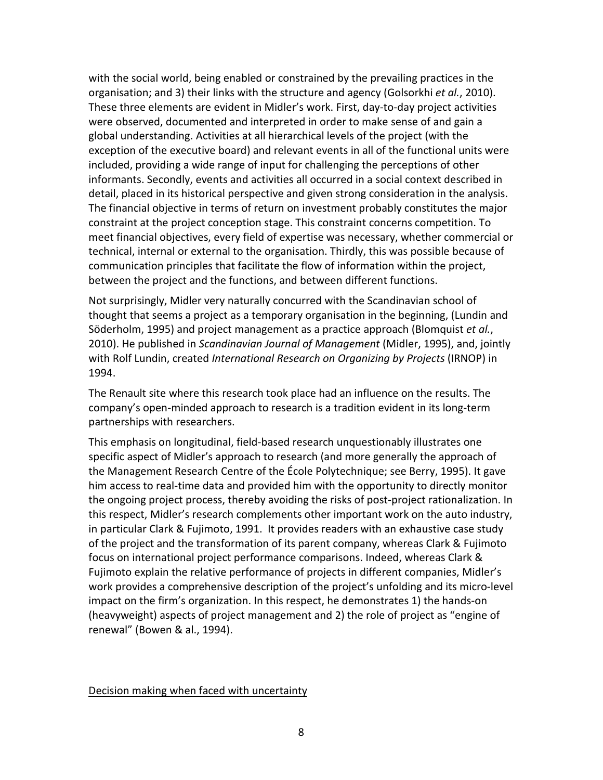with the social world, being enabled or constrained by the prevailing practices in the organisation; and 3) their links with the structure and agency (Golsorkhi *et al.*, 2010). These three elements are evident in Midler's work. First, day-to-day project activities were observed, documented and interpreted in order to make sense of and gain a global understanding. Activities at all hierarchical levels of the project (with the exception of the executive board) and relevant events in all of the functional units were included, providing a wide range of input for challenging the perceptions of other informants. Secondly, events and activities all occurred in a social context described in detail, placed in its historical perspective and given strong consideration in the analysis. The financial objective in terms of return on investment probably constitutes the major constraint at the project conception stage. This constraint concerns competition. To meet financial objectives, every field of expertise was necessary, whether commercial or technical, internal or external to the organisation. Thirdly, this was possible because of communication principles that facilitate the flow of information within the project, between the project and the functions, and between different functions.

Not surprisingly, Midler very naturally concurred with the Scandinavian school of thought that seems a project as a temporary organisation in the beginning, (Lundin and Söderholm, 1995) and project management as a practice approach (Blomquist *et al.*, 2010). He published in *Scandinavian Journal of Management* (Midler, 1995), and, jointly with Rolf Lundin, created *International Research on Organizing by Projects* (IRNOP) in 1994.

The Renault site where this research took place had an influence on the results. The company's open-minded approach to research is a tradition evident in its long-term partnerships with researchers.

This emphasis on longitudinal, field-based research unquestionably illustrates one specific aspect of Midler's approach to research (and more generally the approach of the Management Research Centre of the École Polytechnique; see Berry, 1995). It gave him access to real-time data and provided him with the opportunity to directly monitor the ongoing project process, thereby avoiding the risks of post-project rationalization. In this respect, Midler's research complements other important work on the auto industry, in particular Clark & Fujimoto, 1991. It provides readers with an exhaustive case study of the project and the transformation of its parent company, whereas Clark & Fujimoto focus on international project performance comparisons. Indeed, whereas Clark & Fujimoto explain the relative performance of projects in different companies, Midler's work provides a comprehensive description of the project's unfolding and its micro-level impact on the firm's organization. In this respect, he demonstrates 1) the hands-on (heavyweight) aspects of project management and 2) the role of project as "engine of renewal" (Bowen & al., 1994).

#### Decision making when faced with uncertainty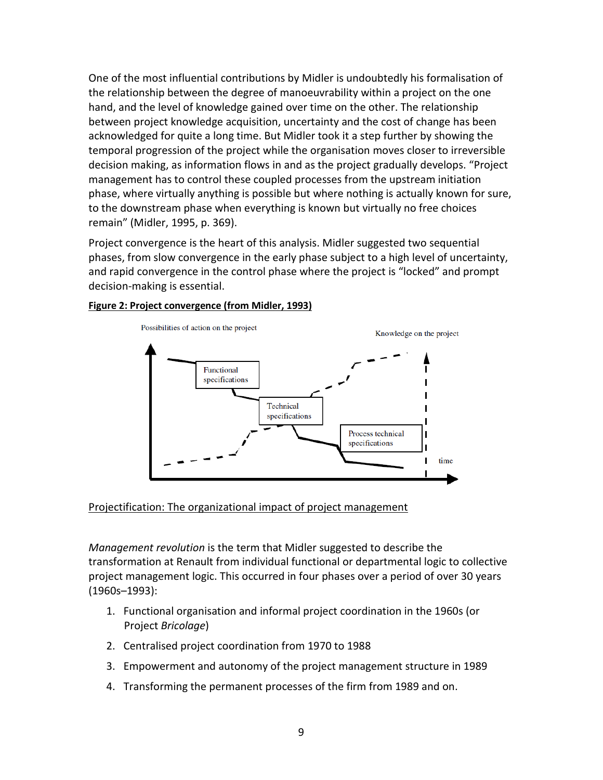One of the most influential contributions by Midler is undoubtedly his formalisation of the relationship between the degree of manoeuvrability within a project on the one hand, and the level of knowledge gained over time on the other. The relationship between project knowledge acquisition, uncertainty and the cost of change has been acknowledged for quite a long time. But Midler took it a step further by showing the temporal progression of the project while the organisation moves closer to irreversible decision making, as information flows in and as the project gradually develops. "Project management has to control these coupled processes from the upstream initiation phase, where virtually anything is possible but where nothing is actually known for sure, to the downstream phase when everything is known but virtually no free choices remain" (Midler, 1995, p. 369).

Project convergence is the heart of this analysis. Midler suggested two sequential phases, from slow convergence in the early phase subject to a high level of uncertainty, and rapid convergence in the control phase where the project is "locked" and prompt decision-making is essential.

#### **Figure 2: Project convergence (from Midler, 1993)**



#### Projectification: The organizational impact of project management

*Management revolution* is the term that Midler suggested to describe the transformation at Renault from individual functional or departmental logic to collective project management logic. This occurred in four phases over a period of over 30 years (1960s–1993):

- 1. Functional organisation and informal project coordination in the 1960s (or Project *Bricolage*)
- 2. Centralised project coordination from 1970 to 1988
- 3. Empowerment and autonomy of the project management structure in 1989
- 4. Transforming the permanent processes of the firm from 1989 and on.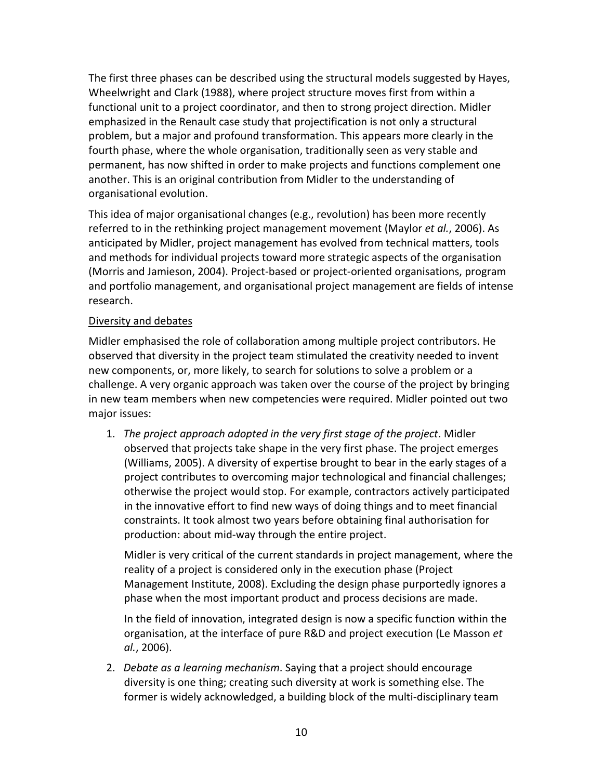The first three phases can be described using the structural models suggested by Hayes, Wheelwright and Clark (1988), where project structure moves first from within a functional unit to a project coordinator, and then to strong project direction. Midler emphasized in the Renault case study that projectification is not only a structural problem, but a major and profound transformation. This appears more clearly in the fourth phase, where the whole organisation, traditionally seen as very stable and permanent, has now shifted in order to make projects and functions complement one another. This is an original contribution from Midler to the understanding of organisational evolution.

This idea of major organisational changes (e.g., revolution) has been more recently referred to in the rethinking project management movement (Maylor *et al.*, 2006). As anticipated by Midler, project management has evolved from technical matters, tools and methods for individual projects toward more strategic aspects of the organisation (Morris and Jamieson, 2004). Project-based or project-oriented organisations, program and portfolio management, and organisational project management are fields of intense research.

# Diversity and debates

Midler emphasised the role of collaboration among multiple project contributors. He observed that diversity in the project team stimulated the creativity needed to invent new components, or, more likely, to search for solutions to solve a problem or a challenge. A very organic approach was taken over the course of the project by bringing in new team members when new competencies were required. Midler pointed out two major issues:

1. *The project approach adopted in the very first stage of the project*. Midler observed that projects take shape in the very first phase. The project emerges (Williams, 2005). A diversity of expertise brought to bear in the early stages of a project contributes to overcoming major technological and financial challenges; otherwise the project would stop. For example, contractors actively participated in the innovative effort to find new ways of doing things and to meet financial constraints. It took almost two years before obtaining final authorisation for production: about mid-way through the entire project.

Midler is very critical of the current standards in project management, where the reality of a project is considered only in the execution phase (Project Management Institute, 2008). Excluding the design phase purportedly ignores a phase when the most important product and process decisions are made.

In the field of innovation, integrated design is now a specific function within the organisation, at the interface of pure R&D and project execution (Le Masson *et al.*, 2006).

2. *Debate as a learning mechanism*. Saying that a project should encourage diversity is one thing; creating such diversity at work is something else. The former is widely acknowledged, a building block of the multi-disciplinary team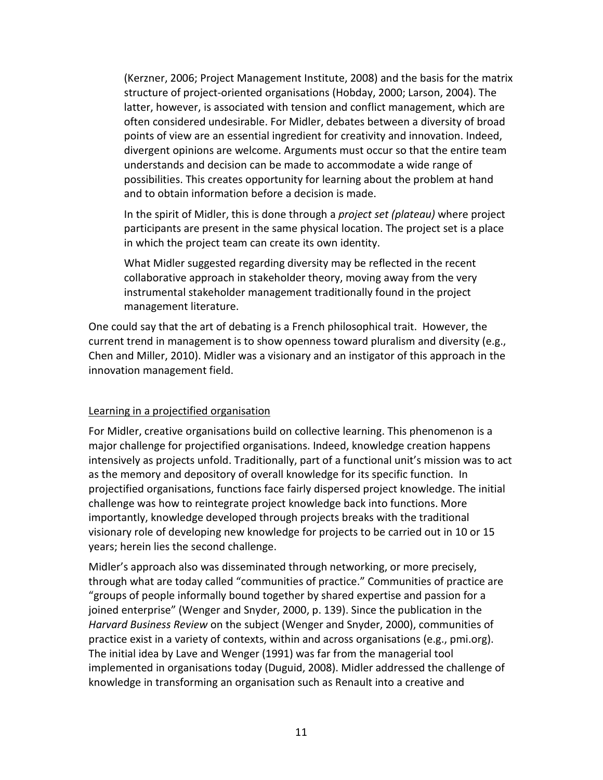(Kerzner, 2006; Project Management Institute, 2008) and the basis for the matrix structure of project-oriented organisations (Hobday, 2000; Larson, 2004). The latter, however, is associated with tension and conflict management, which are often considered undesirable. For Midler, debates between a diversity of broad points of view are an essential ingredient for creativity and innovation. Indeed, divergent opinions are welcome. Arguments must occur so that the entire team understands and decision can be made to accommodate a wide range of possibilities. This creates opportunity for learning about the problem at hand and to obtain information before a decision is made.

In the spirit of Midler, this is done through a *project set (plateau)* where project participants are present in the same physical location. The project set is a place in which the project team can create its own identity.

What Midler suggested regarding diversity may be reflected in the recent collaborative approach in stakeholder theory, moving away from the very instrumental stakeholder management traditionally found in the project management literature.

One could say that the art of debating is a French philosophical trait. However, the current trend in management is to show openness toward pluralism and diversity (e.g., Chen and Miller, 2010). Midler was a visionary and an instigator of this approach in the innovation management field.

### Learning in a projectified organisation

For Midler, creative organisations build on collective learning. This phenomenon is a major challenge for projectified organisations. Indeed, knowledge creation happens intensively as projects unfold. Traditionally, part of a functional unit's mission was to act as the memory and depository of overall knowledge for its specific function. In projectified organisations, functions face fairly dispersed project knowledge. The initial challenge was how to reintegrate project knowledge back into functions. More importantly, knowledge developed through projects breaks with the traditional visionary role of developing new knowledge for projects to be carried out in 10 or 15 years; herein lies the second challenge.

Midler's approach also was disseminated through networking, or more precisely, through what are today called "communities of practice." Communities of practice are "groups of people informally bound together by shared expertise and passion for a joined enterprise" (Wenger and Snyder, 2000, p. 139). Since the publication in the *Harvard Business Review* on the subject (Wenger and Snyder, 2000), communities of practice exist in a variety of contexts, within and across organisations (e.g., pmi.org). The initial idea by Lave and Wenger (1991) was far from the managerial tool implemented in organisations today (Duguid, 2008). Midler addressed the challenge of knowledge in transforming an organisation such as Renault into a creative and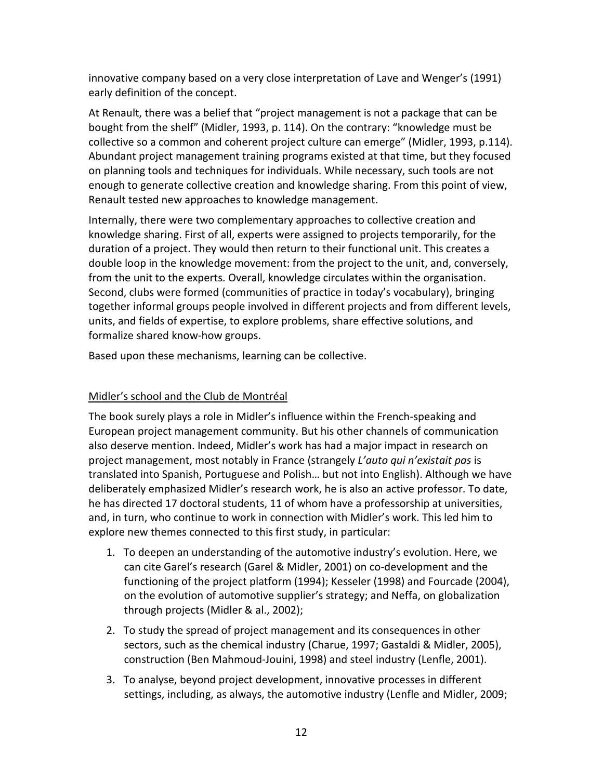innovative company based on a very close interpretation of Lave and Wenger's (1991) early definition of the concept.

At Renault, there was a belief that "project management is not a package that can be bought from the shelf" (Midler, 1993, p. 114). On the contrary: "knowledge must be collective so a common and coherent project culture can emerge" (Midler, 1993, p.114). Abundant project management training programs existed at that time, but they focused on planning tools and techniques for individuals. While necessary, such tools are not enough to generate collective creation and knowledge sharing. From this point of view, Renault tested new approaches to knowledge management.

Internally, there were two complementary approaches to collective creation and knowledge sharing. First of all, experts were assigned to projects temporarily, for the duration of a project. They would then return to their functional unit. This creates a double loop in the knowledge movement: from the project to the unit, and, conversely, from the unit to the experts. Overall, knowledge circulates within the organisation. Second, clubs were formed (communities of practice in today's vocabulary), bringing together informal groups people involved in different projects and from different levels, units, and fields of expertise, to explore problems, share effective solutions, and formalize shared know-how groups.

Based upon these mechanisms, learning can be collective.

# Midler's school and the Club de Montréal

The book surely plays a role in Midler's influence within the French-speaking and European project management community. But his other channels of communication also deserve mention. Indeed, Midler's work has had a major impact in research on project management, most notably in France (strangely *L'auto qui n'existait pas* is translated into Spanish, Portuguese and Polish… but not into English). Although we have deliberately emphasized Midler's research work, he is also an active professor. To date, he has directed 17 doctoral students, 11 of whom have a professorship at universities, and, in turn, who continue to work in connection with Midler's work. This led him to explore new themes connected to this first study, in particular:

- 1. To deepen an understanding of the automotive industry's evolution. Here, we can cite Garel's research (Garel & Midler, 2001) on co-development and the functioning of the project platform (1994); Kesseler (1998) and Fourcade (2004), on the evolution of automotive supplier's strategy; and Neffa, on globalization through projects (Midler & al., 2002);
- 2. To study the spread of project management and its consequences in other sectors, such as the chemical industry (Charue, 1997; Gastaldi & Midler, 2005), construction (Ben Mahmoud-Jouini, 1998) and steel industry (Lenfle, 2001).
- 3. To analyse, beyond project development, innovative processes in different settings, including, as always, the automotive industry (Lenfle and Midler, 2009;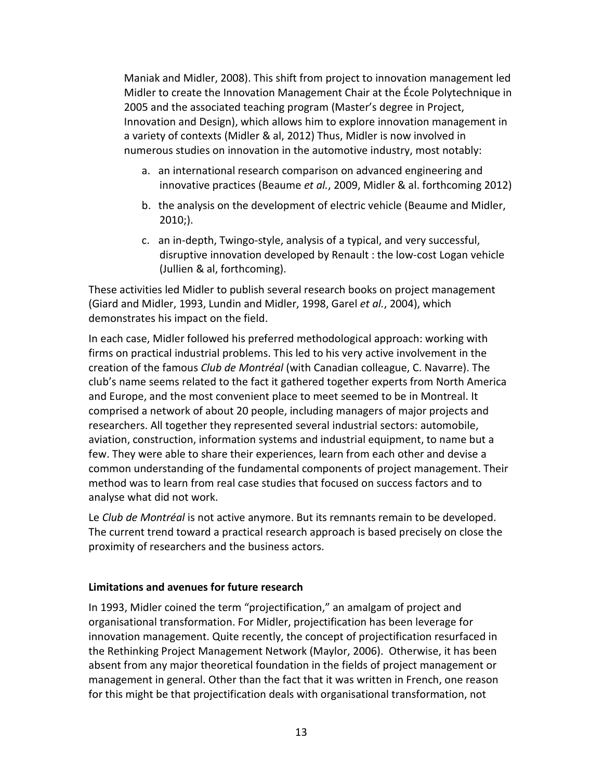Maniak and Midler, 2008). This shift from project to innovation management led Midler to create the Innovation Management Chair at the École Polytechnique in 2005 and the associated teaching program (Master's degree in Project, Innovation and Design), which allows him to explore innovation management in a variety of contexts (Midler & al, 2012) Thus, Midler is now involved in numerous studies on innovation in the automotive industry, most notably:

- a. an international research comparison on advanced engineering and innovative practices (Beaume *et al.*, 2009, Midler & al. forthcoming 2012)
- b. the analysis on the development of electric vehicle (Beaume and Midler, 2010;).
- c. an in-depth, Twingo-style, analysis of a typical, and very successful, disruptive innovation developed by Renault : the low-cost Logan vehicle (Jullien & al, forthcoming).

These activities led Midler to publish several research books on project management (Giard and Midler, 1993, Lundin and Midler, 1998, Garel *et al.*, 2004), which demonstrates his impact on the field.

In each case, Midler followed his preferred methodological approach: working with firms on practical industrial problems. This led to his very active involvement in the creation of the famous *Club de Montréal* (with Canadian colleague, C. Navarre). The club's name seems related to the fact it gathered together experts from North America and Europe, and the most convenient place to meet seemed to be in Montreal. It comprised a network of about 20 people, including managers of major projects and researchers. All together they represented several industrial sectors: automobile, aviation, construction, information systems and industrial equipment, to name but a few. They were able to share their experiences, learn from each other and devise a common understanding of the fundamental components of project management. Their method was to learn from real case studies that focused on success factors and to analyse what did not work.

Le *Club de Montréal* is not active anymore. But its remnants remain to be developed. The current trend toward a practical research approach is based precisely on close the proximity of researchers and the business actors.

### **Limitations and avenues for future research**

In 1993, Midler coined the term "projectification," an amalgam of project and organisational transformation. For Midler, projectification has been leverage for innovation management. Quite recently, the concept of projectification resurfaced in the Rethinking Project Management Network (Maylor, 2006). Otherwise, it has been absent from any major theoretical foundation in the fields of project management or management in general. Other than the fact that it was written in French, one reason for this might be that projectification deals with organisational transformation, not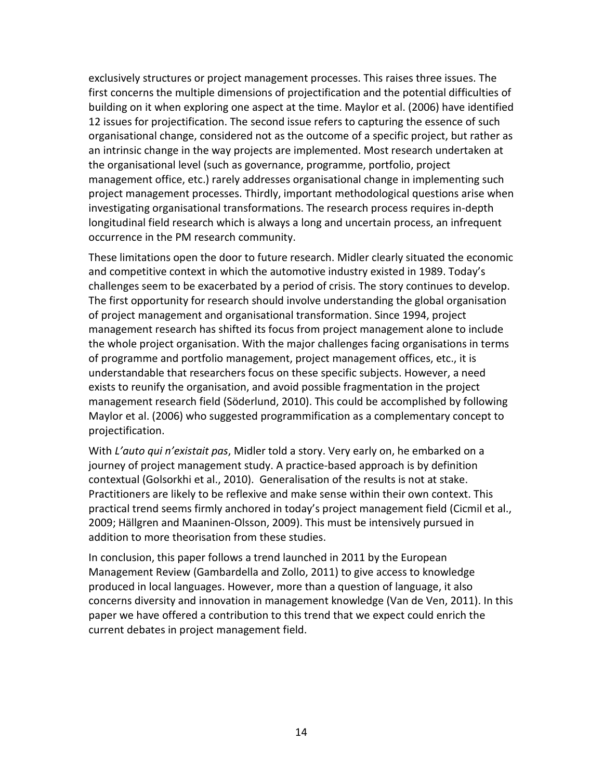exclusively structures or project management processes. This raises three issues. The first concerns the multiple dimensions of projectification and the potential difficulties of building on it when exploring one aspect at the time. Maylor et al. (2006) have identified 12 issues for projectification. The second issue refers to capturing the essence of such organisational change, considered not as the outcome of a specific project, but rather as an intrinsic change in the way projects are implemented. Most research undertaken at the organisational level (such as governance, programme, portfolio, project management office, etc.) rarely addresses organisational change in implementing such project management processes. Thirdly, important methodological questions arise when investigating organisational transformations. The research process requires in-depth longitudinal field research which is always a long and uncertain process, an infrequent occurrence in the PM research community.

These limitations open the door to future research. Midler clearly situated the economic and competitive context in which the automotive industry existed in 1989. Today's challenges seem to be exacerbated by a period of crisis. The story continues to develop. The first opportunity for research should involve understanding the global organisation of project management and organisational transformation. Since 1994, project management research has shifted its focus from project management alone to include the whole project organisation. With the major challenges facing organisations in terms of programme and portfolio management, project management offices, etc., it is understandable that researchers focus on these specific subjects. However, a need exists to reunify the organisation, and avoid possible fragmentation in the project management research field (Söderlund, 2010). This could be accomplished by following Maylor et al. (2006) who suggested programmification as a complementary concept to projectification.

With *L'auto qui n'existait pas*, Midler told a story. Very early on, he embarked on a journey of project management study. A practice-based approach is by definition contextual (Golsorkhi et al., 2010). Generalisation of the results is not at stake. Practitioners are likely to be reflexive and make sense within their own context. This practical trend seems firmly anchored in today's project management field (Cicmil et al., 2009; Hällgren and Maaninen-Olsson, 2009). This must be intensively pursued in addition to more theorisation from these studies.

In conclusion, this paper follows a trend launched in 2011 by the European Management Review (Gambardella and Zollo, 2011) to give access to knowledge produced in local languages. However, more than a question of language, it also concerns diversity and innovation in management knowledge (Van de Ven, 2011). In this paper we have offered a contribution to this trend that we expect could enrich the current debates in project management field.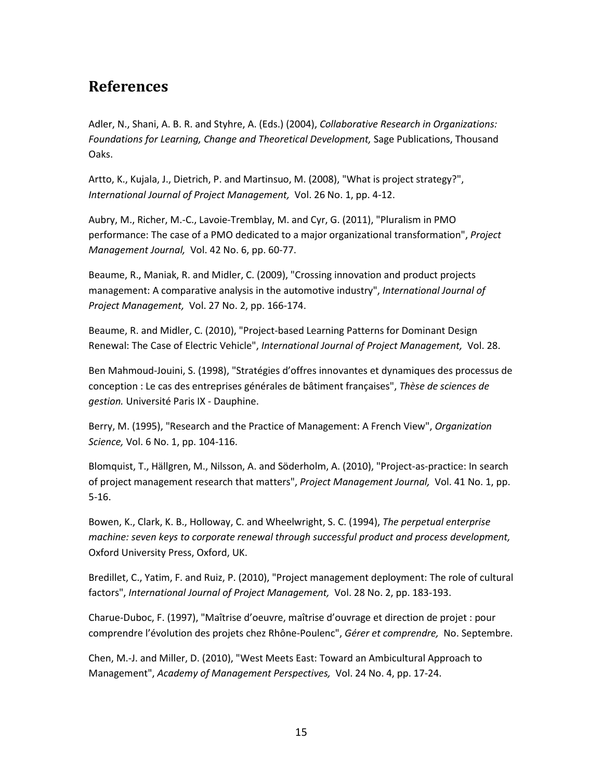# **References**

Adler, N., Shani, A. B. R. and Styhre, A. (Eds.) (2004), *Collaborative Research in Organizations: Foundations for Learning, Change and Theoretical Development,* Sage Publications, Thousand Oaks.

Artto, K., Kujala, J., Dietrich, P. and Martinsuo, M. (2008), "What is project strategy?", *International Journal of Project Management,* Vol. 26 No. 1, pp. 4-12.

Aubry, M., Richer, M.-C., Lavoie-Tremblay, M. and Cyr, G. (2011), "Pluralism in PMO performance: The case of a PMO dedicated to a major organizational transformation", *Project Management Journal,* Vol. 42 No. 6, pp. 60-77.

Beaume, R., Maniak, R. and Midler, C. (2009), "Crossing innovation and product projects management: A comparative analysis in the automotive industry", *International Journal of Project Management,* Vol. 27 No. 2, pp. 166-174.

Beaume, R. and Midler, C. (2010), "Project-based Learning Patterns for Dominant Design Renewal: The Case of Electric Vehicle", *International Journal of Project Management,* Vol. 28.

Ben Mahmoud-Jouini, S. (1998), "Stratégies d'offres innovantes et dynamiques des processus de conception : Le cas des entreprises générales de bâtiment françaises", *Thèse de sciences de gestion.* Université Paris IX - Dauphine.

Berry, M. (1995), "Research and the Practice of Management: A French View", *Organization Science,* Vol. 6 No. 1, pp. 104-116.

Blomquist, T., Hällgren, M., Nilsson, A. and Söderholm, A. (2010), "Project-as-practice: In search of project management research that matters", *Project Management Journal,* Vol. 41 No. 1, pp. 5-16.

Bowen, K., Clark, K. B., Holloway, C. and Wheelwright, S. C. (1994), *The perpetual enterprise machine: seven keys to corporate renewal through successful product and process development,* Oxford University Press, Oxford, UK.

Bredillet, C., Yatim, F. and Ruiz, P. (2010), "Project management deployment: The role of cultural factors", *International Journal of Project Management,* Vol. 28 No. 2, pp. 183-193.

Charue-Duboc, F. (1997), "Maîtrise d'oeuvre, maîtrise d'ouvrage et direction de projet : pour comprendre l'évolution des projets chez Rhône-Poulenc", *Gérer et comprendre,* No. Septembre.

Chen, M.-J. and Miller, D. (2010), "West Meets East: Toward an Ambicultural Approach to Management", *Academy of Management Perspectives,* Vol. 24 No. 4, pp. 17-24.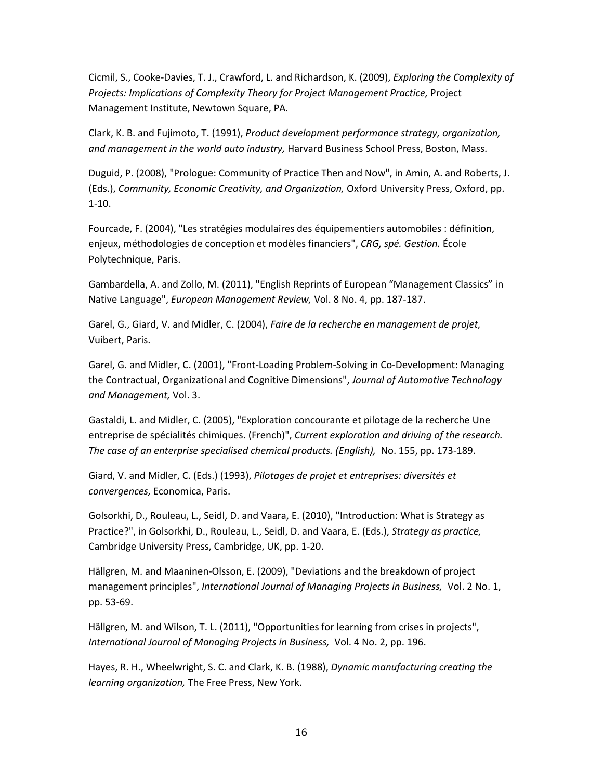Cicmil, S., Cooke-Davies, T. J., Crawford, L. and Richardson, K. (2009), *Exploring the Complexity of Projects: Implications of Complexity Theory for Project Management Practice,* Project Management Institute, Newtown Square, PA.

Clark, K. B. and Fujimoto, T. (1991), *Product development performance strategy, organization, and management in the world auto industry,* Harvard Business School Press, Boston, Mass.

Duguid, P. (2008), "Prologue: Community of Practice Then and Now", in Amin, A. and Roberts, J. (Eds.), *Community, Economic Creativity, and Organization,* Oxford University Press, Oxford, pp. 1-10.

Fourcade, F. (2004), "Les stratégies modulaires des équipementiers automobiles : définition, enjeux, méthodologies de conception et modèles financiers", *CRG, spé. Gestion.* École Polytechnique, Paris.

Gambardella, A. and Zollo, M. (2011), "English Reprints of European "Management Classics" in Native Language", *European Management Review,* Vol. 8 No. 4, pp. 187-187.

Garel, G., Giard, V. and Midler, C. (2004), *Faire de la recherche en management de projet,* Vuibert, Paris.

Garel, G. and Midler, C. (2001), "Front-Loading Problem-Solving in Co-Development: Managing the Contractual, Organizational and Cognitive Dimensions", *Journal of Automotive Technology and Management,* Vol. 3.

Gastaldi, L. and Midler, C. (2005), "Exploration concourante et pilotage de la recherche Une entreprise de spécialités chimiques. (French)", *Current exploration and driving of the research. The case of an enterprise specialised chemical products. (English),* No. 155, pp. 173-189.

Giard, V. and Midler, C. (Eds.) (1993), *Pilotages de projet et entreprises: diversités et convergences,* Economica, Paris.

Golsorkhi, D., Rouleau, L., Seidl, D. and Vaara, E. (2010), "Introduction: What is Strategy as Practice?", in Golsorkhi, D., Rouleau, L., Seidl, D. and Vaara, E. (Eds.), *Strategy as practice,*  Cambridge University Press, Cambridge, UK, pp. 1-20.

Hällgren, M. and Maaninen-Olsson, E. (2009), "Deviations and the breakdown of project management principles", *International Journal of Managing Projects in Business,* Vol. 2 No. 1, pp. 53-69.

Hällgren, M. and Wilson, T. L. (2011), "Opportunities for learning from crises in projects", *International Journal of Managing Projects in Business,* Vol. 4 No. 2, pp. 196.

Hayes, R. H., Wheelwright, S. C. and Clark, K. B. (1988), *Dynamic manufacturing creating the learning organization,* The Free Press, New York.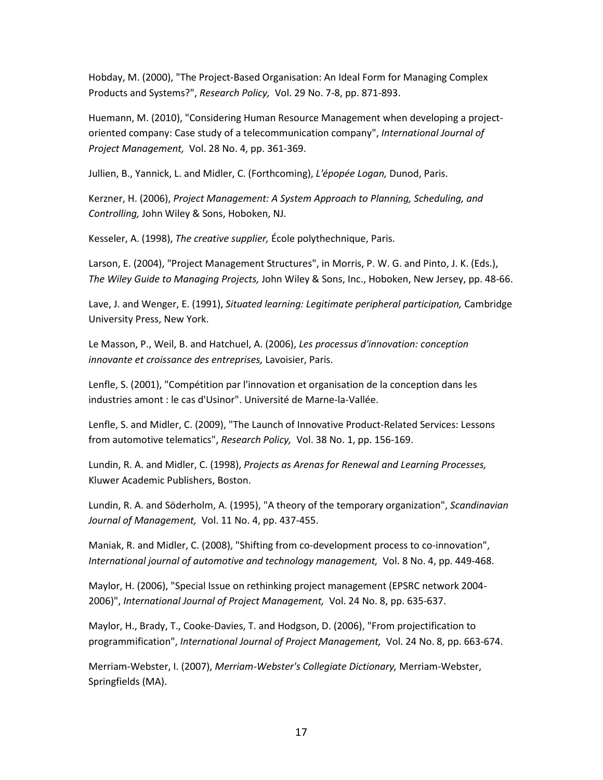Hobday, M. (2000), "The Project-Based Organisation: An Ideal Form for Managing Complex Products and Systems?", *Research Policy,* Vol. 29 No. 7-8, pp. 871-893.

Huemann, M. (2010), "Considering Human Resource Management when developing a projectoriented company: Case study of a telecommunication company", *International Journal of Project Management,* Vol. 28 No. 4, pp. 361-369.

Jullien, B., Yannick, L. and Midler, C. (Forthcoming), *L'épopée Logan,* Dunod, Paris.

Kerzner, H. (2006), *Project Management: A System Approach to Planning, Scheduling, and Controlling,* John Wiley & Sons, Hoboken, NJ.

Kesseler, A. (1998), *The creative supplier,* École polythechnique, Paris.

Larson, E. (2004), "Project Management Structures", in Morris, P. W. G. and Pinto, J. K. (Eds.), *The Wiley Guide to Managing Projects,* John Wiley & Sons, Inc., Hoboken, New Jersey, pp. 48-66.

Lave, J. and Wenger, E. (1991), *Situated learning: Legitimate peripheral participation,* Cambridge University Press, New York.

Le Masson, P., Weil, B. and Hatchuel, A. (2006), *Les processus d'innovation: conception innovante et croissance des entreprises,* Lavoisier, Paris.

Lenfle, S. (2001), "Compétition par l'innovation et organisation de la conception dans les industries amont : le cas d'Usinor". Université de Marne-la-Vallée.

Lenfle, S. and Midler, C. (2009), "The Launch of Innovative Product-Related Services: Lessons from automotive telematics", *Research Policy,* Vol. 38 No. 1, pp. 156-169.

Lundin, R. A. and Midler, C. (1998), *Projects as Arenas for Renewal and Learning Processes,* Kluwer Academic Publishers, Boston.

Lundin, R. A. and Söderholm, A. (1995), "A theory of the temporary organization", *Scandinavian Journal of Management,* Vol. 11 No. 4, pp. 437-455.

Maniak, R. and Midler, C. (2008), "Shifting from co-development process to co-innovation", *International journal of automotive and technology management,* Vol. 8 No. 4, pp. 449-468.

Maylor, H. (2006), "Special Issue on rethinking project management (EPSRC network 2004- 2006)", *International Journal of Project Management,* Vol. 24 No. 8, pp. 635-637.

Maylor, H., Brady, T., Cooke-Davies, T. and Hodgson, D. (2006), "From projectification to programmification", *International Journal of Project Management,* Vol. 24 No. 8, pp. 663-674.

Merriam-Webster, I. (2007), *Merriam-Webster's Collegiate Dictionary,* Merriam-Webster, Springfields (MA).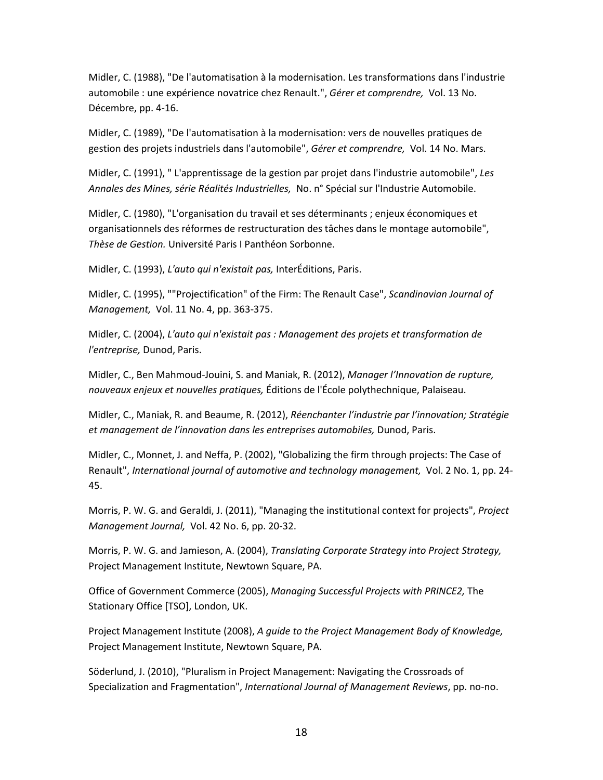Midler, C. (1988), "De l'automatisation à la modernisation. Les transformations dans l'industrie automobile : une expérience novatrice chez Renault.", *Gérer et comprendre,* Vol. 13 No. Décembre, pp. 4-16.

Midler, C. (1989), "De l'automatisation à la modernisation: vers de nouvelles pratiques de gestion des projets industriels dans l'automobile", *Gérer et comprendre,* Vol. 14 No. Mars.

Midler, C. (1991), " L'apprentissage de la gestion par projet dans l'industrie automobile", *Les Annales des Mines, série Réalités Industrielles,* No. n° Spécial sur l'Industrie Automobile.

Midler, C. (1980), "L'organisation du travail et ses déterminants ; enjeux économiques et organisationnels des réformes de restructuration des tâches dans le montage automobile", *Thèse de Gestion.* Université Paris I Panthéon Sorbonne.

Midler, C. (1993), *L'auto qui n'existait pas,* InterÉditions, Paris.

Midler, C. (1995), ""Projectification" of the Firm: The Renault Case", *Scandinavian Journal of Management,* Vol. 11 No. 4, pp. 363-375.

Midler, C. (2004), *L'auto qui n'existait pas : Management des projets et transformation de l'entreprise,* Dunod, Paris.

Midler, C., Ben Mahmoud-Jouini, S. and Maniak, R. (2012), *Manager l'Innovation de rupture, nouveaux enjeux et nouvelles pratiques,* Éditions de l'École polythechnique, Palaiseau.

Midler, C., Maniak, R. and Beaume, R. (2012), *Réenchanter l'industrie par l'innovation; Stratégie et management de l'innovation dans les entreprises automobiles,* Dunod, Paris.

Midler, C., Monnet, J. and Neffa, P. (2002), "Globalizing the firm through projects: The Case of Renault", *International journal of automotive and technology management,* Vol. 2 No. 1, pp. 24- 45.

Morris, P. W. G. and Geraldi, J. (2011), "Managing the institutional context for projects", *Project Management Journal,* Vol. 42 No. 6, pp. 20-32.

Morris, P. W. G. and Jamieson, A. (2004), *Translating Corporate Strategy into Project Strategy,* Project Management Institute, Newtown Square, PA.

Office of Government Commerce (2005), *Managing Successful Projects with PRINCE2,* The Stationary Office [TSO], London, UK.

Project Management Institute (2008), *A guide to the Project Management Body of Knowledge,* Project Management Institute, Newtown Square, PA.

Söderlund, J. (2010), "Pluralism in Project Management: Navigating the Crossroads of Specialization and Fragmentation", *International Journal of Management Reviews*, pp. no-no.